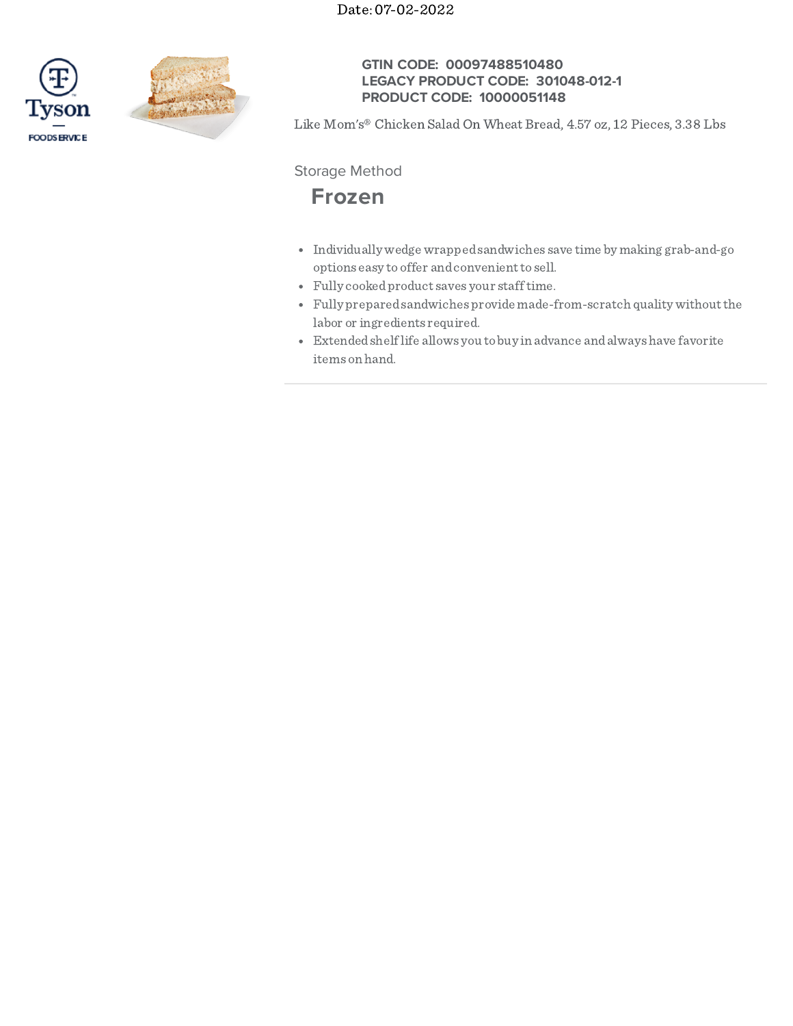Date: 07-02-2022





## **GTIN CODE: 00097488510480 LEGACY PRODUCT CODE: 301048-012-1 PRODUCT CODE: 10000051148**

Like Mom's® Chicken Salad On Wheat Bread, 4.57 oz, 12 Pieces, 3.38 Lbs

Storage Method

# **Frozen**

- Individually wedge wrappedsandwiches save time by making grab-and-go options easy to offer and convenient to sell.
- Fully cookedproduct saves your stafftime.
- Fully preparedsandwiches provide made-from-scratch quality withoutthe labor or ingredients required.
- Extendedshelflife allows you tobuy in advance andalwayshave favorite items on hand.